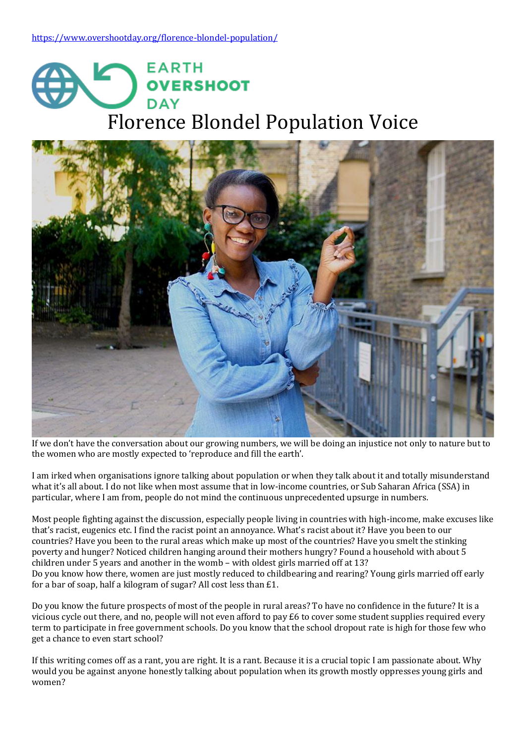



If we don't have the conversation about our growing numbers, we will be doing an injustice not only to nature but to the women who are mostly expected to 'reproduce and fill the earth'.

I am irked when organisations ignore talking about population or when they talk about it and totally misunderstand what it's all about. I do not like when most assume that in low-income countries, or Sub Saharan Africa (SSA) in particular, where I am from, people do not mind the continuous unprecedented upsurge in numbers.

Most people fighting against the discussion, especially people living in countries with high-income, make excuses like that's racist, eugenics etc. I find the racist point an annoyance. What's racist about it? Have you been to our countries? Have you been to the rural areas which make up most of the countries? Have you smelt the stinking poverty and hunger? Noticed children hanging around their mothers hungry? Found a household with about 5 children under 5 years and another in the womb – with oldest girls married off at 13? Do you know how there, women are just mostly reduced to childbearing and rearing? Young girls married off early for a bar of soap, half a kilogram of sugar? All cost less than £1.

Do you know the future prospects of most of the people in rural areas? To have no confidence in the future? It is a vicious cycle out there, and no, people will not even afford to pay £6 to cover some student supplies required every term to participate in free government schools. Do you know that the school dropout rate is high for those few who get a chance to even start school?

If this writing comes off as a rant, you are right. It is a rant. Because it is a crucial topic I am passionate about. Why would you be against anyone honestly talking about population when its growth mostly oppresses young girls and women?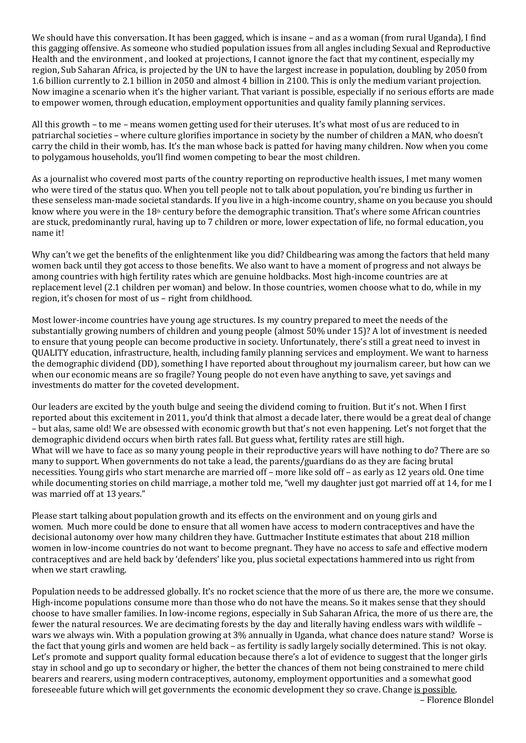We should have this conversation. It has been gagged, which is insane – and as a woman (from rural Uganda), I find this gagging offensive. As someone who studied population issues from all angles including Sexual and Reproductive Health and the environment , and looked at projections, I cannot ignore the fact that my continent, especially my region, Sub Saharan Africa, is projected by the UN to have the largest increase in population, doubling by 2050 from 1.6 billion currently to 2.1 billion in 2050 and almost 4 billion in 2100. This is only the medium variant projection. Now imagine a scenario when it's the higher variant. That variant is possible, especially if no serious efforts are made to empower women, through education, employment opportunities and quality family planning services.

All this growth – to me – means women getting used for their uteruses. It's what most of us are reduced to in patriarchal societies – where culture glorifies importance in society by the number of children a MAN, who doesn't carry the child in their womb, has. It's the man whose back is patted for having many children. Now when you come to polygamous households, you'll find women competing to bear the most children.

As a journalist who covered most parts of the country reporting on reproductive health issues, I met many women who were tired of the status quo. When you tell people not to talk about population, you're binding us further in these senseless man-made societal standards. If you live in a high-income country, shame on you because you should know where you were in the  $18<sup>th</sup>$  century before the demographic transition. That's where some African countries are stuck, predominantly rural, having up to 7 children or more, lower expectation of life, no formal education, you name it!

Why can't we get the benefits of the enlightenment like you did? Childbearing was among the factors that held many women back until they got access to those benefits. We also want to have a moment of progress and not always be among countries with high fertility rates which are genuine holdbacks. Most high-income countries are at replacement level (2.1 children per woman) and below. In those countries, women choose what to do, while in my region, it's chosen for most of us – right from childhood.

Most lower-income countries have young age structures. Is my country prepared to meet the needs of the substantially growing numbers of children and young people (almost 50% under 15)? A lot of investment is needed to ensure that young people can become productive in society. Unfortunately, there's still a great need to invest in QUALITY education, infrastructure, health, including family planning services and employment. We want to harness the demographic dividend (DD), something I have reported about throughout my journalism career, but how can we when our economic means are so fragile? Young people do not even have anything to save, yet savings and investments do matter for the coveted development.

Our leaders are excited by the youth bulge and seeing the dividend coming to fruition. But it's not. When I first reported about this excitement in 2011, you'd think that almost a decade later, there would be a great deal of change – but alas, same old! We are obsessed with economic growth but that's not even happening. Let's not forget that the demographic dividend occurs when birth rates fall. But guess what, fertility rates are still high. What will we have to face as so many young people in their reproductive years will have nothing to do? There are so many to support. When governments do not take a lead, the parents/guardians do as they are facing brutal necessities. Young girls who start menarche are married off – more like sold off – as early as 12 years old. One time while documenting stories on child marriage, a mother told me, "well my daughter just got married off at 14, for me I was married off at 13 years."

Please start talking about population growth and its effects on the environment and on young girls and women. Much more could be done to ensure that all women have access to modern contraceptives and have the decisional autonomy over how many children they have. Guttmacher Institute estimates that about 218 million women in low-income countries do not want to become pregnant. They have no access to safe and effective modern contraceptives and are held back by 'defenders' like you, plus societal expectations hammered into us right from when we start crawling.

Population needs to be addressed globally. It's no rocket science that the more of us there are, the more we consume. High-income populations consume more than those who do not have the means. So it makes sense that they should choose to have smaller families. In low-income regions, especially in Sub Saharan Africa, the more of us there are, the fewer the natural resources. We are decimating forests by the day and literally having endless wars with wildlife – wars we always win. With a population growing at 3% annually in Uganda, what chance does nature stand? Worse is the fact that young girls and women are held back – as fertility is sadly largely socially determined. This is not okay. Let's promote and support quality formal education because there's a lot of evidence to suggest that the longer girls stay in school and go up to secondary or higher, the better the chances of them not being constrained to mere child bearers and rearers, using modern contraceptives, autonomy, employment opportunities and a somewhat good foreseeable future which will get governments the economic development they so crave. Change is [possible.](https://populationmatters.org/news/2019/11/04/cracking-knuckles-and-counting-kids)

– Florence Blondel